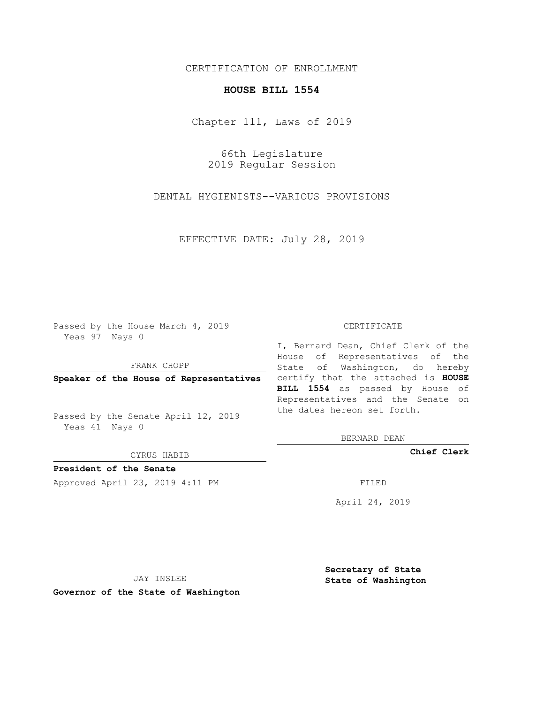## CERTIFICATION OF ENROLLMENT

## **HOUSE BILL 1554**

Chapter 111, Laws of 2019

66th Legislature 2019 Regular Session

DENTAL HYGIENISTS--VARIOUS PROVISIONS

EFFECTIVE DATE: July 28, 2019

Passed by the House March 4, 2019 Yeas 97 Nays 0

FRANK CHOPP

Passed by the Senate April 12, 2019 Yeas 41 Nays 0

CYRUS HABIB

**President of the Senate**

Approved April 23, 2019 4:11 PM FILED

## CERTIFICATE

**Speaker of the House of Representatives** certify that the attached is **HOUSE** I, Bernard Dean, Chief Clerk of the House of Representatives of the State of Washington, do hereby **BILL 1554** as passed by House of Representatives and the Senate on the dates hereon set forth.

BERNARD DEAN

**Chief Clerk**

April 24, 2019

JAY INSLEE

**Governor of the State of Washington**

**Secretary of State State of Washington**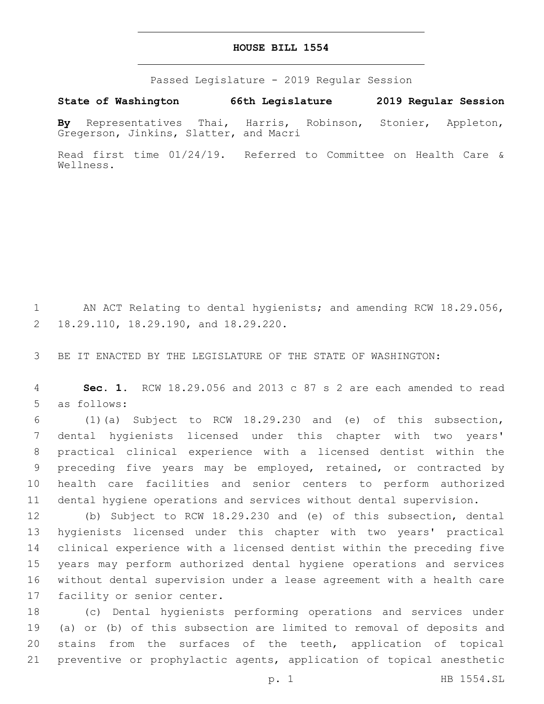Passed Legislature - 2019 Regular Session

**State of Washington 66th Legislature 2019 Regular Session**

**By** Representatives Thai, Harris, Robinson, Stonier, Appleton, Gregerson, Jinkins, Slatter, and Macri

Read first time 01/24/19. Referred to Committee on Health Care & Wellness.

1 AN ACT Relating to dental hygienists; and amending RCW 18.29.056, 18.29.110, 18.29.190, and 18.29.220.2

3 BE IT ENACTED BY THE LEGISLATURE OF THE STATE OF WASHINGTON:

4 **Sec. 1.** RCW 18.29.056 and 2013 c 87 s 2 are each amended to read 5 as follows:

 (1)(a) Subject to RCW 18.29.230 and (e) of this subsection, dental hygienists licensed under this chapter with two years' practical clinical experience with a licensed dentist within the preceding five years may be employed, retained, or contracted by health care facilities and senior centers to perform authorized dental hygiene operations and services without dental supervision.

 (b) Subject to RCW 18.29.230 and (e) of this subsection, dental hygienists licensed under this chapter with two years' practical clinical experience with a licensed dentist within the preceding five years may perform authorized dental hygiene operations and services without dental supervision under a lease agreement with a health care 17 facility or senior center.

 (c) Dental hygienists performing operations and services under (a) or (b) of this subsection are limited to removal of deposits and stains from the surfaces of the teeth, application of topical preventive or prophylactic agents, application of topical anesthetic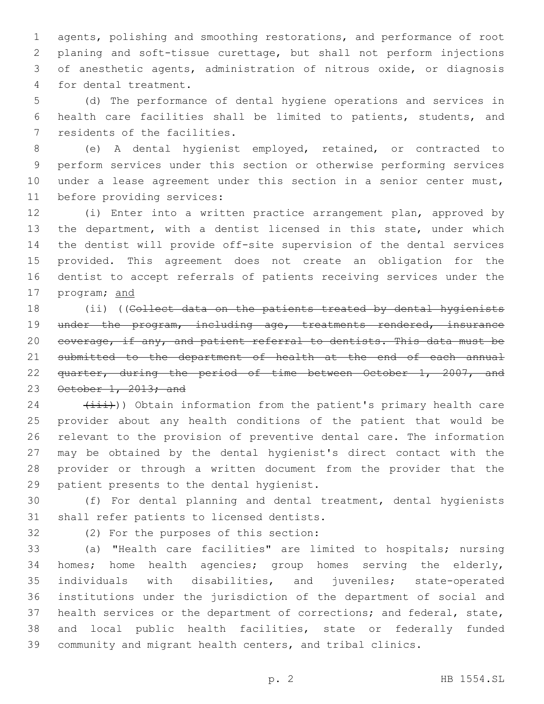agents, polishing and smoothing restorations, and performance of root planing and soft-tissue curettage, but shall not perform injections of anesthetic agents, administration of nitrous oxide, or diagnosis 4 for dental treatment.

 (d) The performance of dental hygiene operations and services in health care facilities shall be limited to patients, students, and 7 residents of the facilities.

 (e) A dental hygienist employed, retained, or contracted to perform services under this section or otherwise performing services 10 under a lease agreement under this section in a senior center must, 11 before providing services:

 (i) Enter into a written practice arrangement plan, approved by the department, with a dentist licensed in this state, under which the dentist will provide off-site supervision of the dental services provided. This agreement does not create an obligation for the dentist to accept referrals of patients receiving services under the program; and

18 (ii) ((Collect data on the patients treated by dental hygienists 19 under the program, including age, treatments rendered, insurance coverage, if any, and patient referral to dentists. This data must be 21 submitted to the department of health at the end of each annual quarter, during the period of time between October 1, 2007, and 23 October 1, 2013; and

 $(24)$   $(1+i)$ ) Obtain information from the patient's primary health care provider about any health conditions of the patient that would be relevant to the provision of preventive dental care. The information may be obtained by the dental hygienist's direct contact with the provider or through a written document from the provider that the 29 patient presents to the dental hygienist.

 (f) For dental planning and dental treatment, dental hygienists 31 shall refer patients to licensed dentists.

32 (2) For the purposes of this section:

 (a) "Health care facilities" are limited to hospitals; nursing homes; home health agencies; group homes serving the elderly, individuals with disabilities, and juveniles; state-operated institutions under the jurisdiction of the department of social and health services or the department of corrections; and federal, state, and local public health facilities, state or federally funded community and migrant health centers, and tribal clinics.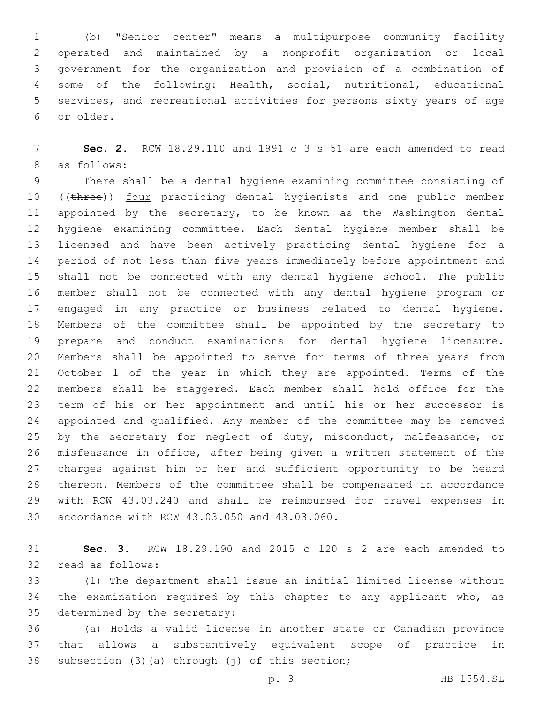(b) "Senior center" means a multipurpose community facility operated and maintained by a nonprofit organization or local government for the organization and provision of a combination of some of the following: Health, social, nutritional, educational services, and recreational activities for persons sixty years of age or older.6

 **Sec. 2.** RCW 18.29.110 and 1991 c 3 s 51 are each amended to read 8 as follows:

 There shall be a dental hygiene examining committee consisting of 10 ((three)) four practicing dental hygienists and one public member 11 appointed by the secretary, to be known as the Washington dental hygiene examining committee. Each dental hygiene member shall be licensed and have been actively practicing dental hygiene for a period of not less than five years immediately before appointment and shall not be connected with any dental hygiene school. The public member shall not be connected with any dental hygiene program or engaged in any practice or business related to dental hygiene. Members of the committee shall be appointed by the secretary to prepare and conduct examinations for dental hygiene licensure. Members shall be appointed to serve for terms of three years from October 1 of the year in which they are appointed. Terms of the members shall be staggered. Each member shall hold office for the term of his or her appointment and until his or her successor is appointed and qualified. Any member of the committee may be removed 25 by the secretary for neglect of duty, misconduct, malfeasance, or misfeasance in office, after being given a written statement of the charges against him or her and sufficient opportunity to be heard thereon. Members of the committee shall be compensated in accordance with RCW 43.03.240 and shall be reimbursed for travel expenses in 30 accordance with RCW 43.03.050 and 43.03.060.

 **Sec. 3.** RCW 18.29.190 and 2015 c 120 s 2 are each amended to 32 read as follows:

 (1) The department shall issue an initial limited license without the examination required by this chapter to any applicant who, as 35 determined by the secretary:

 (a) Holds a valid license in another state or Canadian province that allows a substantively equivalent scope of practice in 38 subsection  $(3)$   $(a)$  through  $(j)$  of this section;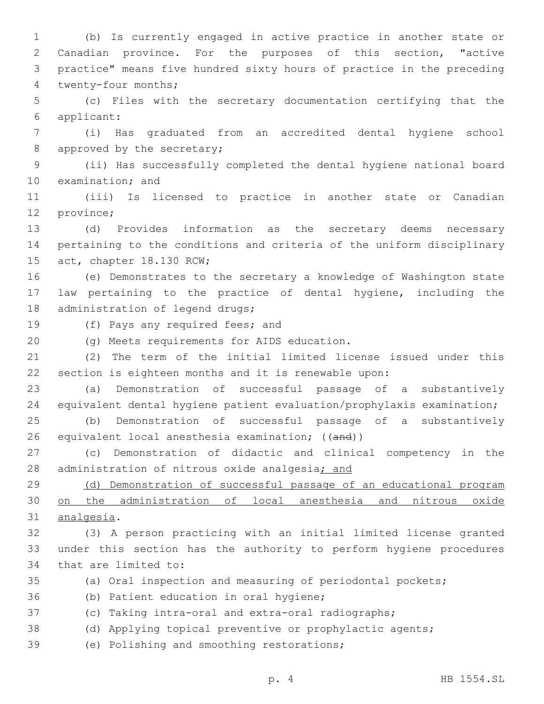Canadian province. For the purposes of this section, "active practice" means five hundred sixty hours of practice in the preceding 4 twenty-four months; (c) Files with the secretary documentation certifying that the applicant:6 (i) Has graduated from an accredited dental hygiene school 8 approved by the secretary; (ii) Has successfully completed the dental hygiene national board 10 examination; and (iii) Is licensed to practice in another state or Canadian 12 province; (d) Provides information as the secretary deems necessary pertaining to the conditions and criteria of the uniform disciplinary 15 act, chapter 18.130 RCW; (e) Demonstrates to the secretary a knowledge of Washington state law pertaining to the practice of dental hygiene, including the 18 administration of legend drugs; 19 (f) Pays any required fees; and 20 (g) Meets requirements for AIDS education. (2) The term of the initial limited license issued under this section is eighteen months and it is renewable upon: (a) Demonstration of successful passage of a substantively equivalent dental hygiene patient evaluation/prophylaxis examination; (b) Demonstration of successful passage of a substantively 26 equivalent local anesthesia examination; ((and)) (c) Demonstration of didactic and clinical competency in the 28 administration of nitrous oxide analgesia; and (d) Demonstration of successful passage of an educational program on the administration of local anesthesia and nitrous oxide 31 analgesia. (3) A person practicing with an initial limited license granted under this section has the authority to perform hygiene procedures 34 that are limited to: (a) Oral inspection and measuring of periodontal pockets; 36 (b) Patient education in oral hygiene; (c) Taking intra-oral and extra-oral radiographs; (d) Applying topical preventive or prophylactic agents; 39 (e) Polishing and smoothing restorations;

1 (b) Is currently engaged in active practice in another state or

p. 4 HB 1554.SL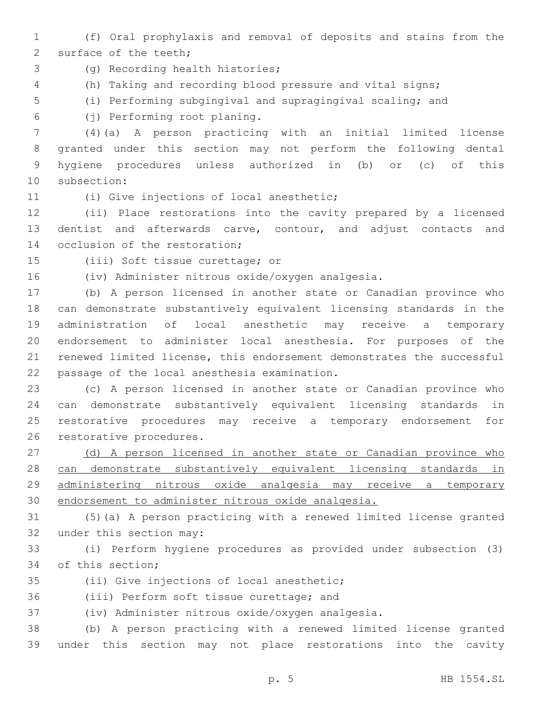1 (f) Oral prophylaxis and removal of deposits and stains from the 2 surface of the teeth;

- 3 (g) Recording health histories;
- 4 (h) Taking and recording blood pressure and vital signs;
- 5 (i) Performing subgingival and supragingival scaling; and
- (j) Performing root planing.6

 (4)(a) A person practicing with an initial limited license granted under this section may not perform the following dental hygiene procedures unless authorized in (b) or (c) of this 10 subsection:

## (i) Give injections of local anesthetic;

12 (ii) Place restorations into the cavity prepared by a licensed 13 dentist and afterwards carve, contour, and adjust contacts and 14 occlusion of the restoration;

15 (iii) Soft tissue curettage; or

16 (iv) Administer nitrous oxide/oxygen analgesia.

 (b) A person licensed in another state or Canadian province who can demonstrate substantively equivalent licensing standards in the administration of local anesthetic may receive a temporary endorsement to administer local anesthesia. For purposes of the renewed limited license, this endorsement demonstrates the successful 22 passage of the local anesthesia examination.

 (c) A person licensed in another state or Canadian province who can demonstrate substantively equivalent licensing standards in restorative procedures may receive a temporary endorsement for 26 restorative procedures.

27 (d) A person licensed in another state or Canadian province who can demonstrate substantively equivalent licensing standards in administering nitrous oxide analgesia may receive a temporary endorsement to administer nitrous oxide analgesia.

31 (5)(a) A person practicing with a renewed limited license granted 32 under this section may:

33 (i) Perform hygiene procedures as provided under subsection (3) 34 of this section:

35 (ii) Give injections of local anesthetic;

36 (iii) Perform soft tissue curettage; and

37 (iv) Administer nitrous oxide/oxygen analgesia.

38 (b) A person practicing with a renewed limited license granted 39 under this section may not place restorations into the cavity